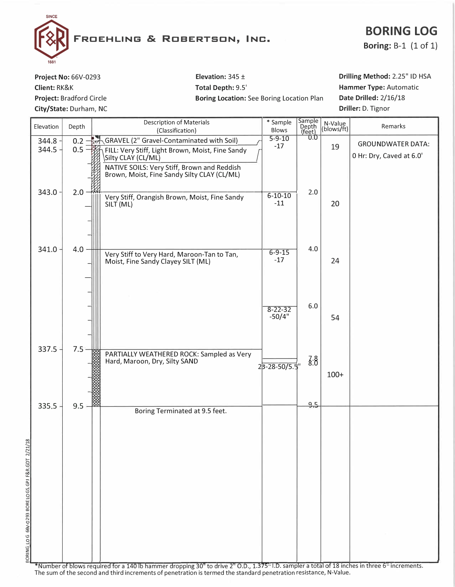

## **BORING LOG**

**Boring:** B-1 (1 of 1)

**Project No:** 66V-0293 **Client:** RK&K **Project:** Bradford Circle **City/State:** Durham, NC **Elevation:** 345 ± **Total Depth:** 9.5' **Boring Location:** See Boring Location Plan **Drilling Method:** 2.25" ID HSA **Hammer Type:** Automatic **Date Drilled:** 2/16/18 **Driller:** D. Tignor

| Elevation                      | Depth               | <b>Description of Materials</b><br>(Classification)                                                                                           | * Sample<br>Blows         | Sample<br>Depth<br>(feet) | N-Value<br>(blows/ft) | Remarks                  |
|--------------------------------|---------------------|-----------------------------------------------------------------------------------------------------------------------------------------------|---------------------------|---------------------------|-----------------------|--------------------------|
| $344.8 -$                      | $0.2 - \frac{1}{2}$ | <b>GRAVEL (2" Gravel-Contaminated with Soil)</b>                                                                                              | $5 - 9 - 10$<br>$-17$     | 0.0                       |                       | <b>GROUNDWATER DATA:</b> |
| $344.5 -$                      | $0.5 -$             | ₩<br>FILL: Very Stiff, Light Brown, Moist, Fine Sandy<br>Silty CLAY (CL/ML)                                                                   |                           |                           | 19                    | 0 Hr: Dry, Caved at 6.0' |
|                                |                     | NATIVE SOILS: Very Stiff, Brown and Reddish<br>Brown, Moist, Fine Sandy Silty CLAY (CL/ML)                                                    |                           |                           |                       |                          |
| 343.0                          | 2.0                 | Very Stiff, Orangish Brown, Moist, Fine Sandy<br>SILT (ML)                                                                                    | $6 - 10 - 10$<br>$-11$    | 2.0                       | 20                    |                          |
|                                |                     |                                                                                                                                               |                           |                           |                       |                          |
| $341.0 -$                      | 4.0                 | Very Stiff to Very Hard, Maroon-Tan to Tan,<br>Moist, Fine Sandy Clayey SILT (ML)                                                             | $6 - 9 - 15$<br>$-17$     | 4.0                       | 24                    |                          |
|                                |                     |                                                                                                                                               |                           | $6.0\,$                   |                       |                          |
|                                |                     |                                                                                                                                               | $8 - 22 - 32$<br>$-50/4"$ |                           | 54                    |                          |
| 337.5                          | $7.5 -$             | PARTIALLY WEATHERED ROCK: Sampled as Very<br>Hard, Maroon, Dry, Silty SAND                                                                    |                           | $\mathcal{L}8.8$          |                       |                          |
|                                |                     |                                                                                                                                               | 23-28-50/5.5"             |                           | $100+$                |                          |
|                                |                     |                                                                                                                                               |                           | 9.5                       |                       |                          |
| 335.5                          | $9.5 -$             | Boring Terminated at 9.5 feet.                                                                                                                |                           |                           |                       |                          |
|                                |                     |                                                                                                                                               |                           |                           |                       |                          |
|                                |                     |                                                                                                                                               |                           |                           |                       |                          |
|                                |                     |                                                                                                                                               |                           |                           |                       |                          |
|                                |                     |                                                                                                                                               |                           |                           |                       |                          |
| 66V-0293 BORE LOGS GPJ_F&R.GDT |                     |                                                                                                                                               |                           |                           |                       |                          |
|                                |                     |                                                                                                                                               |                           |                           |                       |                          |
|                                |                     |                                                                                                                                               |                           |                           |                       |                          |
|                                |                     | *Number of blows required for a 140 lb hammer dropping 30" to drive 2" O.D., 1.375" I.D. sampler a total of 18 inches in three 6" increments. |                           |                           |                       |                          |

The sum of the second and third increments of penetration is termed the standard penetration resistance, N-Value.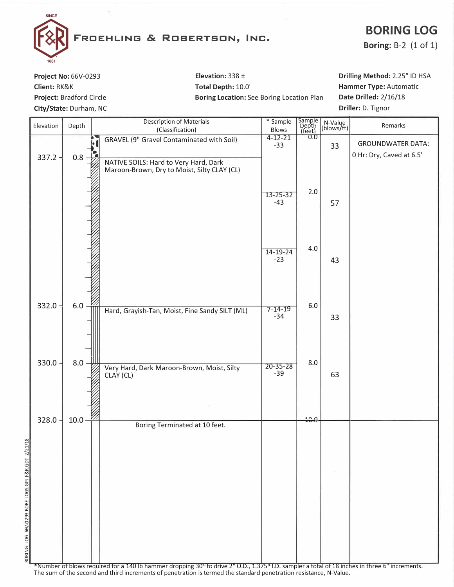

## **BORING LOG**

**Boring: B-2 (1 of 1)** 

Project No: 66V-0293 Client: RK&K Project: Bradford Circle City/State: Durham, NC

Elevation:  $338 \pm$ Total Depth: 10.0' Boring Location: See Boring Location Plan Drilling Method: 2.25" ID HSA Hammer Type: Automatic Date Drilled: 2/16/18 Driller: D. Tignor

| Elevation | Depth       | <b>Description of Materials</b><br>(Classification)                                  | * Sample<br>Blows       | Sample<br>Depth<br>(feet) | N-Value<br>(blows/ft) | Remarks                                              |
|-----------|-------------|--------------------------------------------------------------------------------------|-------------------------|---------------------------|-----------------------|------------------------------------------------------|
|           |             | <b>GRAVEL (9" Gravel Contaminated with Soil)</b>                                     | $4 - 12 - 21$<br>$-33$  | 0.0                       | 33                    | <b>GROUNDWATER DATA:</b><br>0 Hr: Dry, Caved at 6.5' |
| $337.2 -$ | $0.8 \cdot$ | NATIVE SOILS: Hard to Very Hard, Dark<br>Maroon-Brown, Dry to Moist, Silty CLAY (CL) |                         |                           |                       |                                                      |
|           |             |                                                                                      | $13 - 25 - 32$<br>$-43$ | 2.0                       | 57                    |                                                      |
|           |             |                                                                                      | $14 - 19 - 24$<br>$-23$ | 4.0                       | 43                    |                                                      |
| $332.0 -$ | $6.0 =$     | Hard, Grayish-Tan, Moist, Fine Sandy SILT (ML)                                       | $7 - 14 - 19$<br>$-34$  | $6.0\,$                   | 33                    |                                                      |
| $330.0 -$ | $8.0 \div$  | Very Hard, Dark Maroon-Brown, Moist, Silty<br>CLAY (CL)                              | $20 - 35 - 28$<br>$-39$ | $8.0\,$                   | 63                    |                                                      |
|           |             |                                                                                      |                         |                           |                       |                                                      |
| 328.0     | $10.0 -$    | Boring Terminated at 10 feet.                                                        |                         | 10.0                      |                       |                                                      |
|           |             |                                                                                      |                         |                           |                       |                                                      |
|           |             |                                                                                      |                         |                           |                       |                                                      |
|           |             |                                                                                      |                         |                           |                       |                                                      |
|           |             |                                                                                      |                         |                           |                       |                                                      |

\*Number of blows required for a 140 lb hammer dropping 30" to drive 2" O.D., 1.375" I.D. sampler a total of 18 inches in three 6" increments. The sum of the second and third increments of penetration is termed the standard penetration resistance, N-Value.